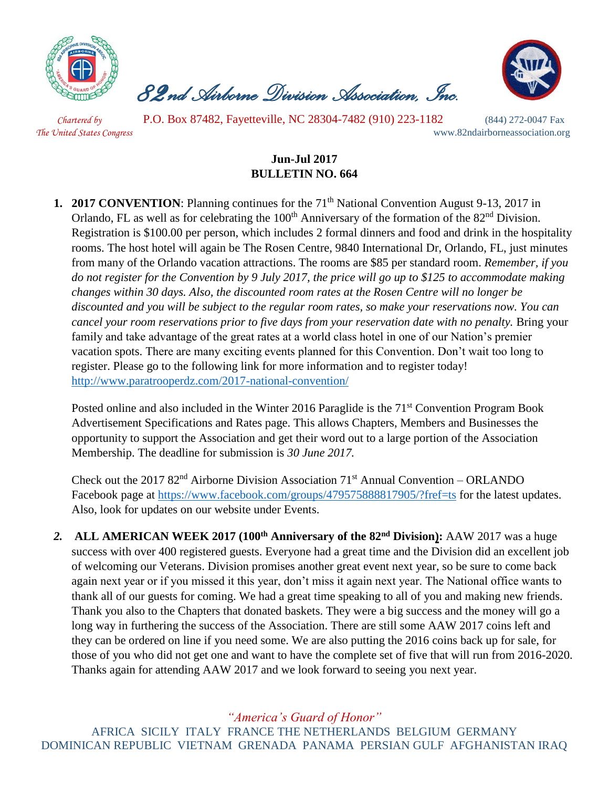

 *82nd Airborne Division Association, Inc.* 



 *Chartered by* P.O. Box 87482, Fayetteville, NC 28304-7482 (910) 223-1182 (844) 272-0047 Fax *The United States Congress* www.82ndairborneassociation.org

## **Jun-Jul 2017 BULLETIN NO. 664**

**1. 2017 CONVENTION:** Planning continues for the 71<sup>th</sup> National Convention August 9-13, 2017 in Orlando, FL as well as for celebrating the 100<sup>th</sup> Anniversary of the formation of the 82<sup>nd</sup> Division. Registration is \$100.00 per person, which includes 2 formal dinners and food and drink in the hospitality rooms. The host hotel will again be The Rosen Centre, 9840 International Dr, Orlando, FL, just minutes from many of the Orlando vacation attractions. The rooms are \$85 per standard room. *Remember, if you do not register for the Convention by 9 July 2017, the price will go up to \$125 to accommodate making changes within 30 days. Also, the discounted room rates at the Rosen Centre will no longer be discounted and you will be subject to the regular room rates, so make your reservations now. You can cancel your room reservations prior to five days from your reservation date with no penalty.* Bring your family and take advantage of the great rates at a world class hotel in one of our Nation's premier vacation spots. There are many exciting events planned for this Convention. Don't wait too long to register. Please go to the following link for more information and to register today! <http://www.paratrooperdz.com/2017-national-convention/>

Posted online and also included in the Winter 2016 Paraglide is the 71<sup>st</sup> Convention Program Book Advertisement Specifications and Rates page. This allows Chapters, Members and Businesses the opportunity to support the Association and get their word out to a large portion of the Association Membership. The deadline for submission is *30 June 2017.*

Check out the 2017  $82<sup>nd</sup>$  Airborne Division Association 71<sup>st</sup> Annual Convention – ORLANDO Facebook page at<https://www.facebook.com/groups/479575888817905/?fref=ts> for the latest updates. Also, look for updates on our website under Events.

*2.* **ALL AMERICAN WEEK 2017 (100th Anniversary of the 82nd Division):** AAW 2017 was a huge success with over 400 registered guests. Everyone had a great time and the Division did an excellent job of welcoming our Veterans. Division promises another great event next year, so be sure to come back again next year or if you missed it this year, don't miss it again next year. The National office wants to thank all of our guests for coming. We had a great time speaking to all of you and making new friends. Thank you also to the Chapters that donated baskets. They were a big success and the money will go a long way in furthering the success of the Association. There are still some AAW 2017 coins left and they can be ordered on line if you need some. We are also putting the 2016 coins back up for sale, for those of you who did not get one and want to have the complete set of five that will run from 2016-2020. Thanks again for attending AAW 2017 and we look forward to seeing you next year.

*"America's Guard of Honor"*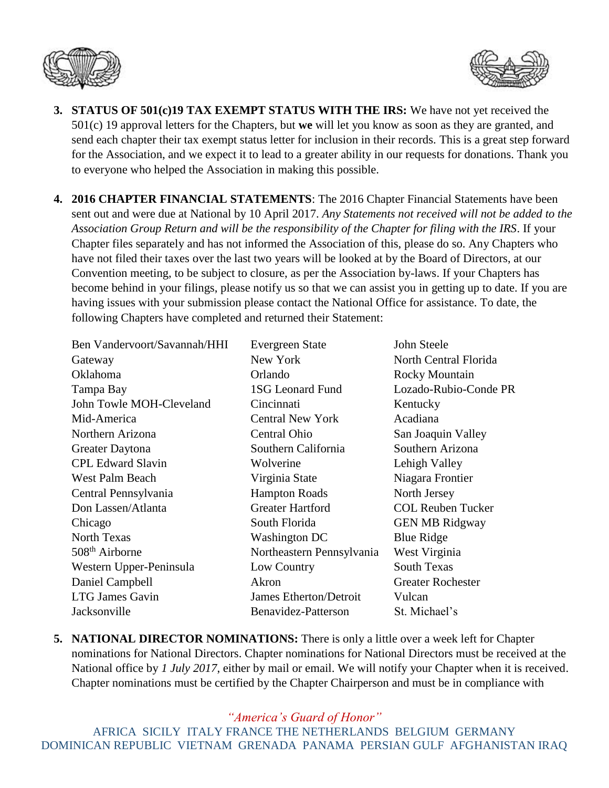



- **3. STATUS OF 501(c)19 TAX EXEMPT STATUS WITH THE IRS:** We have not yet received the 501(c) 19 approval letters for the Chapters, but **we** will let you know as soon as they are granted, and send each chapter their tax exempt status letter for inclusion in their records. This is a great step forward for the Association, and we expect it to lead to a greater ability in our requests for donations. Thank you to everyone who helped the Association in making this possible.
- **4. 2016 CHAPTER FINANCIAL STATEMENTS**: The 2016 Chapter Financial Statements have been sent out and were due at National by 10 April 2017. *Any Statements not received will not be added to the Association Group Return and will be the responsibility of the Chapter for filing with the IRS*. If your Chapter files separately and has not informed the Association of this, please do so. Any Chapters who have not filed their taxes over the last two years will be looked at by the Board of Directors, at our Convention meeting, to be subject to closure, as per the Association by-laws. If your Chapters has become behind in your filings, please notify us so that we can assist you in getting up to date. If you are having issues with your submission please contact the National Office for assistance. To date, the following Chapters have completed and returned their Statement:

Ben Vandervoort/Savannah/HHI Evergreen State John Steele Gateway New York North Central Florida Oklahoma Orlando Rocky Mountain Tampa Bay 1SG Leonard Fund Lozado-Rubio-Conde PR John Towle MOH-Cleveland Cincinnati Kentucky Mid-America Central New York Acadiana Northern Arizona Central Ohio San Joaquin Valley Greater Daytona Southern California Southern Arizona CPL Edward Slavin Wolverine Lehigh Valley West Palm Beach Virginia State Niagara Frontier Central Pennsylvania Hampton Roads North Jersey Don Lassen/Atlanta Greater Hartford COL Reuben Tucker Chicago South Florida GEN MB Ridgway North Texas Washington DC Blue Ridge 508<sup>th</sup> Airborne Northeastern Pennsylvania West Virginia Western Upper-Peninsula Low Country South Texas Daniel Campbell Akron Greater Rochester LTG James Gavin James Etherton/Detroit Vulcan Jacksonville Benavidez-Patterson St. Michael's

**5. NATIONAL DIRECTOR NOMINATIONS:** There is only a little over a week left for Chapter nominations for National Directors. Chapter nominations for National Directors must be received at the National office by *1 July 2017*, either by mail or email. We will notify your Chapter when it is received. Chapter nominations must be certified by the Chapter Chairperson and must be in compliance with

*"America's Guard of Honor"*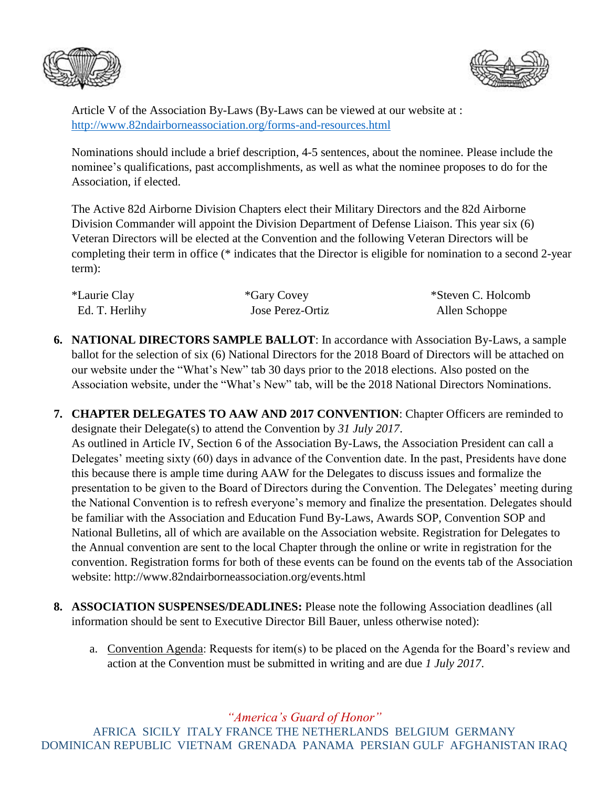



Article V of the Association By-Laws (By-Laws can be viewed at our website at : <http://www.82ndairborneassociation.org/forms-and-resources.html>

Nominations should include a brief description, 4-5 sentences, about the nominee. Please include the nominee's qualifications, past accomplishments, as well as what the nominee proposes to do for the Association, if elected.

The Active 82d Airborne Division Chapters elect their Military Directors and the 82d Airborne Division Commander will appoint the Division Department of Defense Liaison. This year six (6) Veteran Directors will be elected at the Convention and the following Veteran Directors will be completing their term in office (\* indicates that the Director is eligible for nomination to a second 2-year term):

| *Laurie Clay   | *Gary Covey      | *Steven C. Holcomb |
|----------------|------------------|--------------------|
| Ed. T. Herlihy | Jose Perez-Ortiz | Allen Schoppe      |

- **6. NATIONAL DIRECTORS SAMPLE BALLOT**: In accordance with Association By-Laws, a sample ballot for the selection of six (6) National Directors for the 2018 Board of Directors will be attached on our website under the "What's New" tab 30 days prior to the 2018 elections. Also posted on the Association website, under the "What's New" tab, will be the 2018 National Directors Nominations.
- **7. CHAPTER DELEGATES TO AAW AND 2017 CONVENTION**: Chapter Officers are reminded to designate their Delegate(s) to attend the Convention by *31 July 2017*. As outlined in Article IV, Section 6 of the Association By-Laws, the Association President can call a Delegates' meeting sixty (60) days in advance of the Convention date. In the past, Presidents have done this because there is ample time during AAW for the Delegates to discuss issues and formalize the presentation to be given to the Board of Directors during the Convention. The Delegates' meeting during the National Convention is to refresh everyone's memory and finalize the presentation. Delegates should be familiar with the Association and Education Fund By-Laws, Awards SOP, Convention SOP and National Bulletins, all of which are available on the Association website. Registration for Delegates to the Annual convention are sent to the local Chapter through the online or write in registration for the convention. Registration forms for both of these events can be found on the events tab of the Association website: http://www.82ndairborneassociation.org/events.html
- **8. ASSOCIATION SUSPENSES/DEADLINES:** Please note the following Association deadlines (all information should be sent to Executive Director Bill Bauer, unless otherwise noted):
	- a. Convention Agenda: Requests for item(s) to be placed on the Agenda for the Board's review and action at the Convention must be submitted in writing and are due *1 July 2017*.

*"America's Guard of Honor"*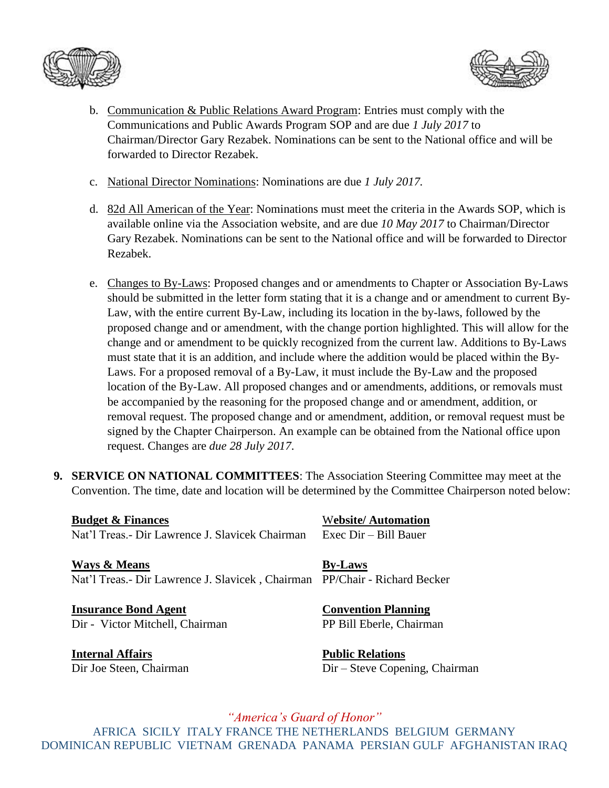



- b. Communication & Public Relations Award Program: Entries must comply with the Communications and Public Awards Program SOP and are due *1 July 2017* to Chairman/Director Gary Rezabek. Nominations can be sent to the National office and will be forwarded to Director Rezabek.
- c. National Director Nominations: Nominations are due *1 July 2017.*
- d. 82d All American of the Year: Nominations must meet the criteria in the Awards SOP, which is available online via the Association website, and are due *10 May 2017* to Chairman/Director Gary Rezabek. Nominations can be sent to the National office and will be forwarded to Director Rezabek.
- e. Changes to By-Laws: Proposed changes and or amendments to Chapter or Association By-Laws should be submitted in the letter form stating that it is a change and or amendment to current By-Law, with the entire current By-Law, including its location in the by-laws, followed by the proposed change and or amendment, with the change portion highlighted. This will allow for the change and or amendment to be quickly recognized from the current law. Additions to By-Laws must state that it is an addition, and include where the addition would be placed within the By-Laws. For a proposed removal of a By-Law, it must include the By-Law and the proposed location of the By-Law. All proposed changes and or amendments, additions, or removals must be accompanied by the reasoning for the proposed change and or amendment, addition, or removal request. The proposed change and or amendment, addition, or removal request must be signed by the Chapter Chairperson. An example can be obtained from the National office upon request. Changes are *due 28 July 2017*.
- **9. SERVICE ON NATIONAL COMMITTEES**: The Association Steering Committee may meet at the Convention. The time, date and location will be determined by the Committee Chairperson noted below:

**Budget & Finances** Website/ Automation Nat'l Treas.- Dir Lawrence J. Slavicek Chairman Exec Dir – Bill Bauer

**Ways & Means By-Laws** Nat'l Treas.- Dir Lawrence J. Slavicek , Chairman PP/Chair - Richard Becker

**Insurance Bond Agent Convention Planning** Dir - Victor Mitchell, Chairman PP Bill Eberle, Chairman

**Internal Affairs Public Relations**

Dir Joe Steen, Chairman Dir – Steve Copening, Chairman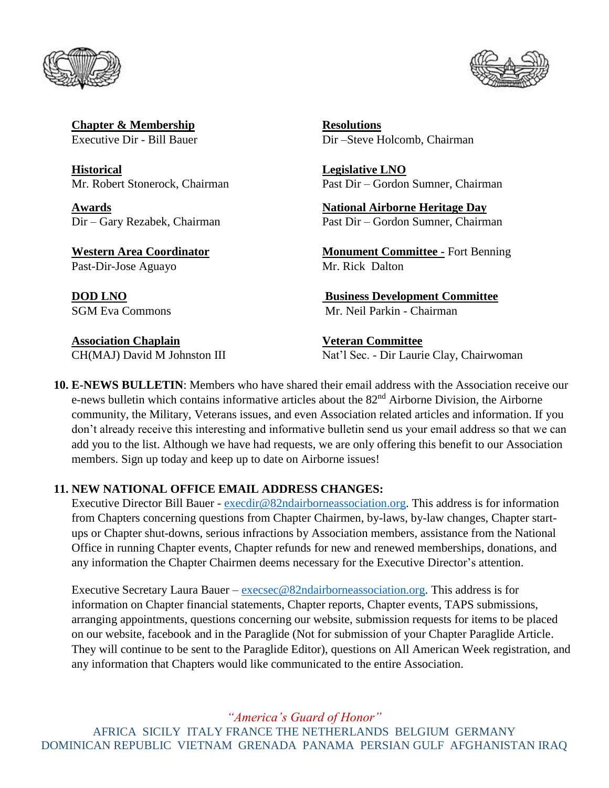



**Chapter & Membership Resolutions** 

**Historical Legislative LNO**

Past-Dir-Jose Aguayo Mr. Rick Dalton

**Association Chaplain Veteran Committee**

Executive Dir - Bill Bauer Dir –Steve Holcomb, Chairman

Mr. Robert Stonerock, Chairman Past Dir – Gordon Sumner, Chairman

**Awards National Airborne Heritage Day** Dir – Gary Rezabek, Chairman Past Dir – Gordon Sumner, Chairman

**Western Area Coordinator Monument Committee -** Fort Benning

**DOD LNO Business Development Committee** SGM Eva Commons Mr. Neil Parkin - Chairman

CH(MAJ) David M Johnston III Nat'l Sec. - Dir Laurie Clay, Chairwoman

**10. E-NEWS BULLETIN**: Members who have shared their email address with the Association receive our e-news bulletin which contains informative articles about the 82<sup>nd</sup> Airborne Division, the Airborne community, the Military, Veterans issues, and even Association related articles and information. If you don't already receive this interesting and informative bulletin send us your email address so that we can add you to the list. Although we have had requests, we are only offering this benefit to our Association members. Sign up today and keep up to date on Airborne issues!

## **11. NEW NATIONAL OFFICE EMAIL ADDRESS CHANGES:**

Executive Director Bill Bauer - [execdir@82ndairborneassociation.org.](mailto:execdir@82ndairborneassociation.org) This address is for information from Chapters concerning questions from Chapter Chairmen, by-laws, by-law changes, Chapter startups or Chapter shut-downs, serious infractions by Association members, assistance from the National Office in running Chapter events, Chapter refunds for new and renewed memberships, donations, and any information the Chapter Chairmen deems necessary for the Executive Director's attention.

Executive Secretary Laura Bauer –  $execse@82n$ dairborneassociation.org. This address is for information on Chapter financial statements, Chapter reports, Chapter events, TAPS submissions, arranging appointments, questions concerning our website, submission requests for items to be placed on our website, facebook and in the Paraglide (Not for submission of your Chapter Paraglide Article. They will continue to be sent to the Paraglide Editor), questions on All American Week registration, and any information that Chapters would like communicated to the entire Association.

*"America's Guard of Honor"*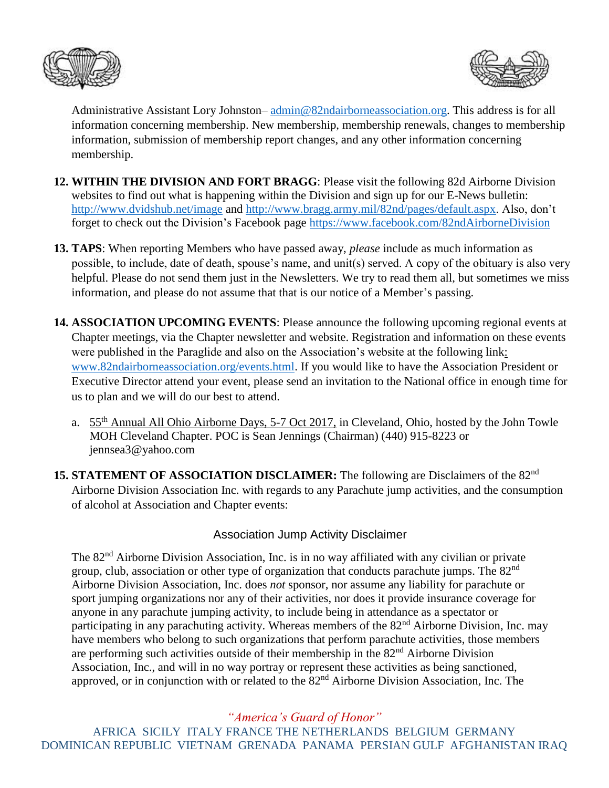



Administrative Assistant Lory Johnston–  $\frac{\text{admin@82} \text{ndairborne} \text{association.org}}{\text{diamion.org}}$ . This address is for all information concerning membership. New membership, membership renewals, changes to membership information, submission of membership report changes, and any other information concerning membership.

- **12. WITHIN THE DIVISION AND FORT BRAGG**: Please visit the following 82d Airborne Division websites to find out what is happening within the Division and sign up for our E-News bulletin: <http://www.dvidshub.net/image> and [http://www.bragg.army.mil/82nd/pages/default.aspx.](http://www.bragg.army.mil/82ND/Pages/default.aspx) Also, don't forget to check out the Division's Facebook page<https://www.facebook.com/82ndAirborneDivision>
- **13. TAPS**: When reporting Members who have passed away, *please* include as much information as possible, to include, date of death, spouse's name, and unit(s) served. A copy of the obituary is also very helpful. Please do not send them just in the Newsletters. We try to read them all, but sometimes we miss information, and please do not assume that that is our notice of a Member's passing.
- **14. ASSOCIATION UPCOMING EVENTS**: Please announce the following upcoming regional events at Chapter meetings, via the Chapter newsletter and website. Registration and information on these events were published in the Paraglide and also on the Association's website at the following link: [www.82ndairborneassociation.org/events.html.](http://www.82ndairborneassociation.org/events.html) If you would like to have the Association President or Executive Director attend your event, please send an invitation to the National office in enough time for us to plan and we will do our best to attend.
	- a. 55th Annual All Ohio Airborne Days, 5-7 Oct 2017, in Cleveland, Ohio, hosted by the John Towle MOH Cleveland Chapter. POC is Sean Jennings (Chairman) (440) 915-8223 or jennsea3@yahoo.com
- **15. STATEMENT OF ASSOCIATION DISCLAIMER:** The following are Disclaimers of the 82nd Airborne Division Association Inc. with regards to any Parachute jump activities, and the consumption of alcohol at Association and Chapter events:

## Association Jump Activity Disclaimer

The 82nd Airborne Division Association, Inc. is in no way affiliated with any civilian or private group, club, association or other type of organization that conducts parachute jumps. The 82<sup>nd</sup> Airborne Division Association, Inc. does *not* sponsor, nor assume any liability for parachute or sport jumping organizations nor any of their activities, nor does it provide insurance coverage for anyone in any parachute jumping activity, to include being in attendance as a spectator or participating in any parachuting activity. Whereas members of the 82<sup>nd</sup> Airborne Division, Inc. may have members who belong to such organizations that perform parachute activities, those members are performing such activities outside of their membership in the  $82<sup>nd</sup>$  Airborne Division Association, Inc., and will in no way portray or represent these activities as being sanctioned, approved, or in conjunction with or related to the 82nd Airborne Division Association, Inc. The

*"America's Guard of Honor"*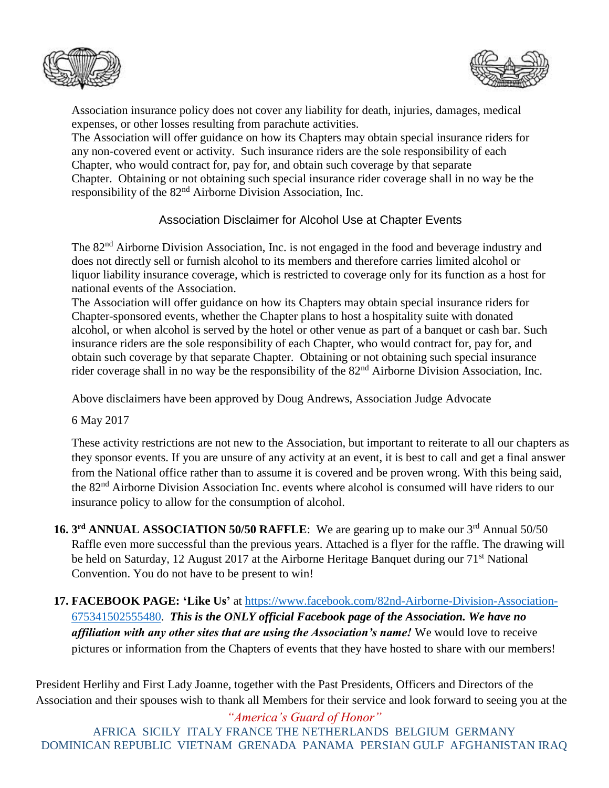



Association insurance policy does not cover any liability for death, injuries, damages, medical expenses, or other losses resulting from parachute activities.

The Association will offer guidance on how its Chapters may obtain special insurance riders for any non-covered event or activity. Such insurance riders are the sole responsibility of each Chapter, who would contract for, pay for, and obtain such coverage by that separate Chapter. Obtaining or not obtaining such special insurance rider coverage shall in no way be the responsibility of the 82nd Airborne Division Association, Inc.

Association Disclaimer for Alcohol Use at Chapter Events

The 82<sup>nd</sup> Airborne Division Association, Inc. is not engaged in the food and beverage industry and does not directly sell or furnish alcohol to its members and therefore carries limited alcohol or liquor liability insurance coverage, which is restricted to coverage only for its function as a host for national events of the Association.

The Association will offer guidance on how its Chapters may obtain special insurance riders for Chapter-sponsored events, whether the Chapter plans to host a hospitality suite with donated alcohol, or when alcohol is served by the hotel or other venue as part of a banquet or cash bar. Such insurance riders are the sole responsibility of each Chapter, who would contract for, pay for, and obtain such coverage by that separate Chapter. Obtaining or not obtaining such special insurance rider coverage shall in no way be the responsibility of the 82<sup>nd</sup> Airborne Division Association, Inc.

Above disclaimers have been approved by Doug Andrews, Association Judge Advocate

6 May 2017

These activity restrictions are not new to the Association, but important to reiterate to all our chapters as they sponsor events. If you are unsure of any activity at an event, it is best to call and get a final answer from the National office rather than to assume it is covered and be proven wrong. With this being said, the 82nd Airborne Division Association Inc. events where alcohol is consumed will have riders to our insurance policy to allow for the consumption of alcohol.

- **16. 3<sup>rd</sup> ANNUAL ASSOCIATION 50/50 RAFFLE**: We are gearing up to make our 3<sup>rd</sup> Annual 50/50 Raffle even more successful than the previous years. Attached is a flyer for the raffle. The drawing will be held on Saturday, 12 August 2017 at the Airborne Heritage Banquet during our 71<sup>st</sup> National Convention. You do not have to be present to win!
- **17. FACEBOOK PAGE: 'Like Us'** at [https://www.facebook.com/82nd-Airborne-Division-Association-](https://www.facebook.com/82nd-Airborne-Division-Association-675341502555480)[675341502555480.](https://www.facebook.com/82nd-Airborne-Division-Association-675341502555480) *This is the ONLY official Facebook page of the Association. We have no affiliation with any other sites that are using the Association's name!* We would love to receive pictures or information from the Chapters of events that they have hosted to share with our members!

President Herlihy and First Lady Joanne, together with the Past Presidents, Officers and Directors of the Association and their spouses wish to thank all Members for their service and look forward to seeing you at the